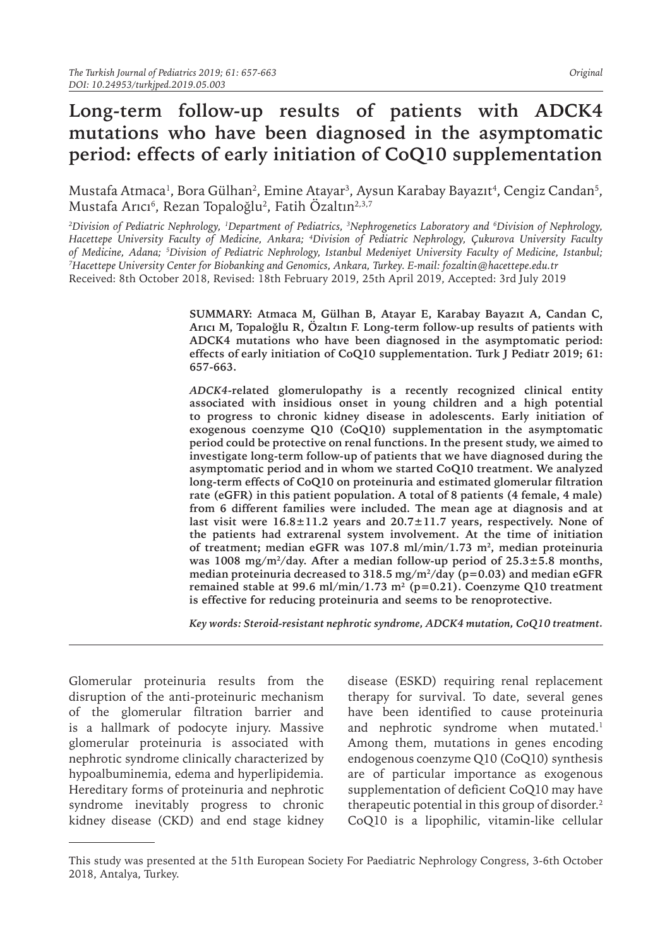# **Long-term follow-up results of patients with ADCK4 mutations who have been diagnosed in the asymptomatic period: effects of early initiation of CoQ10 supplementation**

Mustafa Atmaca<sup>1</sup>, Bora Gülhan<sup>2</sup>, Emine Atayar<sup>3</sup>, Aysun Karabay Bayazıt<sup>4</sup>, Cengiz Candan<sup>5</sup>, Mustafa Arıcı<sup>6</sup>, Rezan Topaloğlu<sup>2</sup>, Fatih Ozaltın<sup>2,3,7</sup>

*2 Division of Pediatric Nephrology, <sup>1</sup> Department of Pediatrics, <sup>3</sup> Nephrogenetics Laboratory and <sup>6</sup> Division of Nephrology, Hacettepe University Faculty of Medicine, Ankara; <sup>4</sup> Division of Pediatric Nephrology, Çukurova University Faculty of Medicine, Adana; <sup>5</sup> Division of Pediatric Nephrology, Istanbul Medeniyet University Faculty of Medicine, Istanbul; 7 Hacettepe University Center for Biobanking and Genomics, Ankara, Turkey. E-mail: fozaltin@hacettepe.edu.tr* Received: 8th October 2018, Revised: 18th February 2019, 25th April 2019, Accepted: 3rd July 2019

> **SUMMARY: Atmaca M, Gülhan B, Atayar E, Karabay Bayazıt A, Candan C, Arıcı M, Topaloğlu R, Özaltın F. Long-term follow-up results of patients with ADCK4 mutations who have been diagnosed in the asymptomatic period: effects of early initiation of CoQ10 supplementation. Turk J Pediatr 2019; 61: 657-663.**

> *ADCK4***-related glomerulopathy is a recently recognized clinical entity associated with insidious onset in young children and a high potential to progress to chronic kidney disease in adolescents. Early initiation of exogenous coenzyme Q10 (CoQ10) supplementation in the asymptomatic period could be protective on renal functions. In the present study, we aimed to investigate long-term follow-up of patients that we have diagnosed during the asymptomatic period and in whom we started CoQ10 treatment. We analyzed long-term effects of CoQ10 on proteinuria and estimated glomerular filtration rate (eGFR) in this patient population. A total of 8 patients (4 female, 4 male) from 6 different families were included. The mean age at diagnosis and at last visit were 16.8±11.2 years and 20.7±11.7 years, respectively. None of the patients had extrarenal system involvement. At the time of initiation of treatment; median eGFR was 107.8 ml/min/1.73 m2, median proteinuria was 1008 mg/m2/day. After a median follow-up period of 25.3±5.8 months, median proteinuria decreased to 318.5 mg/m2/day (p=0.03) and median eGFR remained stable at 99.6 ml/min/1.73 m2 (p=0.21). Coenzyme Q10 treatment is effective for reducing proteinuria and seems to be renoprotective.**

> *Key words: Steroid-resistant nephrotic syndrome, ADCK4 mutation, CoQ10 treatment.*

Glomerular proteinuria results from the disruption of the anti-proteinuric mechanism of the glomerular filtration barrier and is a hallmark of podocyte injury. Massive glomerular proteinuria is associated with nephrotic syndrome clinically characterized by hypoalbuminemia, edema and hyperlipidemia. Hereditary forms of proteinuria and nephrotic syndrome inevitably progress to chronic kidney disease (CKD) and end stage kidney

disease (ESKD) requiring renal replacement therapy for survival. To date, several genes have been identified to cause proteinuria and nephrotic syndrome when mutated.<sup>1</sup> Among them, mutations in genes encoding endogenous coenzyme Q10 (CoQ10) synthesis are of particular importance as exogenous supplementation of deficient CoQ10 may have therapeutic potential in this group of disorder.<sup>2</sup> CoQ10 is a lipophilic, vitamin-like cellular

This study was presented at the 51th European Society For Paediatric Nephrology Congress, 3-6th October 2018, Antalya, Turkey.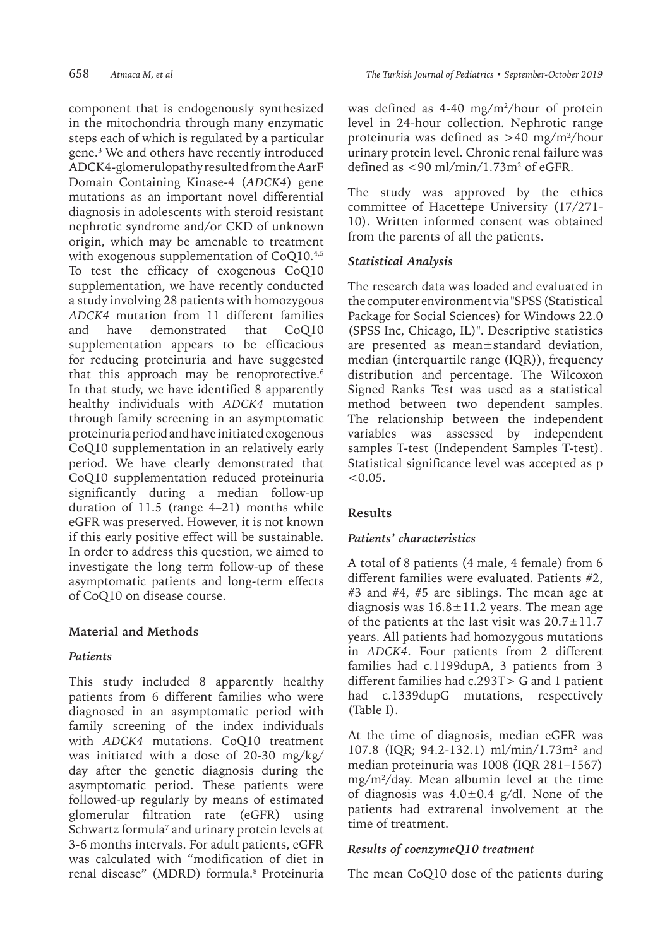component that is endogenously synthesized in the mitochondria through many enzymatic steps each of which is regulated by a particular gene.3 We and others have recently introduced ADCK4-glomerulopathy resulted from the AarF Domain Containing Kinase-4 (*ADCK4*) gene mutations as an important novel differential diagnosis in adolescents with steroid resistant nephrotic syndrome and/or CKD of unknown origin, which may be amenable to treatment with exogenous supplementation of CoQ10.4,5 To test the efficacy of exogenous CoQ10 supplementation, we have recently conducted a study involving 28 patients with homozygous *ADCK4* mutation from 11 different families and have demonstrated that CoQ10 supplementation appears to be efficacious for reducing proteinuria and have suggested that this approach may be renoprotective. $6$ In that study, we have identified 8 apparently healthy individuals with *ADCK4* mutation through family screening in an asymptomatic proteinuria period and have initiated exogenous CoQ10 supplementation in an relatively early period. We have clearly demonstrated that CoQ10 supplementation reduced proteinuria significantly during a median follow-up duration of 11.5 (range 4–21) months while eGFR was preserved. However, it is not known if this early positive effect will be sustainable. In order to address this question, we aimed to investigate the long term follow-up of these asymptomatic patients and long-term effects of CoQ10 on disease course.

# **Material and Methods**

### *Patients*

This study included 8 apparently healthy patients from 6 different families who were diagnosed in an asymptomatic period with family screening of the index individuals with *ADCK4* mutations. CoQ10 treatment was initiated with a dose of 20-30 mg/kg/ day after the genetic diagnosis during the asymptomatic period. These patients were followed-up regularly by means of estimated glomerular filtration rate (eGFR) using Schwartz formula<sup>7</sup> and urinary protein levels at 3-6 months intervals. For adult patients, eGFR was calculated with "modification of diet in renal disease" (MDRD) formula.8 Proteinuria

was defined as 4-40 mg/m2 /hour of protein level in 24-hour collection. Nephrotic range proteinuria was defined as >40 mg/m2 /hour urinary protein level. Chronic renal failure was defined as  $\langle 90 \text{ ml/min}/1.73 \text{ m}^2 \text{ of eGFR}.$ 

The study was approved by the ethics committee of Hacettepe University (17/271- 10). Written informed consent was obtained from the parents of all the patients.

## *Statistical Analysis*

The research data was loaded and evaluated in the computer environment via "SPSS (Statistical Package for Social Sciences) for Windows 22.0 (SPSS Inc, Chicago, IL)". Descriptive statistics are presented as mean±standard deviation, median (interquartile range (IQR)), frequency distribution and percentage. The Wilcoxon Signed Ranks Test was used as a statistical method between two dependent samples. The relationship between the independent variables was assessed by independent samples T-test (Independent Samples T-test). Statistical significance level was accepted as p  $< 0.05$ .

# **Results**

# *Patients' characteristics*

A total of 8 patients (4 male, 4 female) from 6 different families were evaluated. Patients #2, #3 and #4, #5 are siblings. The mean age at diagnosis was  $16.8 \pm 11.2$  years. The mean age of the patients at the last visit was  $20.7 \pm 11.7$ years. All patients had homozygous mutations in *ADCK4*. Four patients from 2 different families had c.1199dupA, 3 patients from 3 different families had c.293T> G and 1 patient had c.1339dupG mutations, respectively (Table I).

At the time of diagnosis, median eGFR was 107.8 (IQR; 94.2-132.1) ml/min/1.73m<sup>2</sup> and median proteinuria was 1008 (IQR 281–1567) mg/m2 /day. Mean albumin level at the time of diagnosis was  $4.0 \pm 0.4$  g/dl. None of the patients had extrarenal involvement at the time of treatment.

### *Results of coenzymeQ10 treatment*

The mean CoQ10 dose of the patients during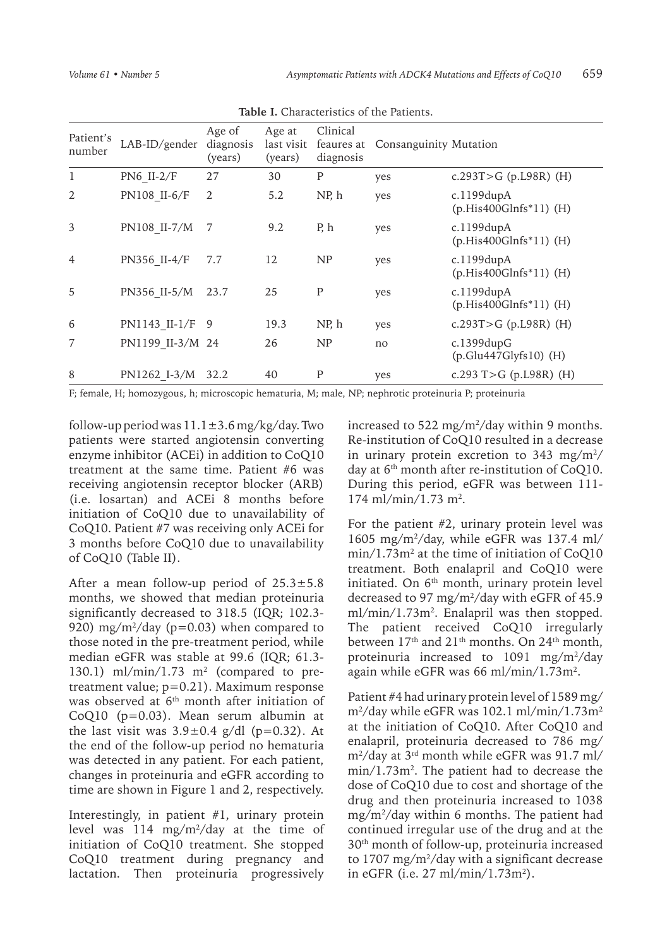| Patient's<br>number | LAB-ID/gender    | Age of<br>diagnosis<br>(years) | Age at<br>last visit<br>(years) | Clinical<br>feaures at<br>diagnosis | Consanguinity Mutation |                                              |
|---------------------|------------------|--------------------------------|---------------------------------|-------------------------------------|------------------------|----------------------------------------------|
| 1                   | PN6 II-2/F       | 27                             | 30                              | P                                   | yes                    | c.293T>G (p.L98R) (H)                        |
| 2                   | PN108 II-6/F     | $\overline{2}$                 | 5.2                             | NP, h                               | yes                    | $c.1199$ dupA<br>(p.His400Glnfs*11) (H)      |
| 3                   | PN108 II-7/M     | -7                             | 9.2                             | P, h                                | yes                    | $c.1199$ dup $A$<br>$(p.His400Glnfs*11)$ (H) |
| $\overline{4}$      | PN356 II-4/F     | 7.7                            | 12                              | <b>NP</b>                           | yes                    | $c.1199$ dupA<br>$(p.His400Glnfs*11)$ (H)    |
| 5                   | PN356 II-5/M     | 23.7                           | 25                              | $\mathbf{P}$                        | yes                    | $c.1199$ dupA<br>(p.His400Glnfs*11) (H)      |
| 6                   | PN1143 II-1/F    | 9                              | 19.3                            | NP, h                               | yes                    | c.293T>G (p.L98R) (H)                        |
| 7                   | PN1199 II-3/M 24 |                                | 26                              | <b>NP</b>                           | no                     | $c.1399$ dupG<br>$(p.Glu447Glyfs10)$ (H)     |
| 8                   | PN1262 I-3/M     | 32.2                           | 40                              | P                                   | yes                    | c.293 T>G (p.L98R) $(H)$                     |

**Table I.** Characteristics of the Patients.

F; female, H; homozygous, h; microscopic hematuria, M; male, NP; nephrotic proteinuria P; proteinuria

follow-up period was  $11.1 \pm 3.6$  mg/kg/day. Two patients were started angiotensin converting enzyme inhibitor (ACEi) in addition to CoQ10 treatment at the same time. Patient #6 was receiving angiotensin receptor blocker (ARB) (i.e. losartan) and ACEi 8 months before initiation of CoQ10 due to unavailability of CoQ10. Patient #7 was receiving only ACEi for 3 months before CoQ10 due to unavailability of CoQ10 (Table II).

After a mean follow-up period of  $25.3 \pm 5.8$ months, we showed that median proteinuria significantly decreased to 318.5 (IQR; 102.3- 920) mg/m<sup>2</sup>/day (p=0.03) when compared to those noted in the pre-treatment period, while median eGFR was stable at 99.6 (IQR; 61.3- 130.1) ml/min/1.73  $m^2$  (compared to pretreatment value; p=0.21). Maximum response was observed at  $6<sup>th</sup>$  month after initiation of CoQ10 (p=0.03). Mean serum albumin at the last visit was  $3.9 \pm 0.4$  g/dl (p=0.32). At the end of the follow-up period no hematuria was detected in any patient. For each patient, changes in proteinuria and eGFR according to time are shown in Figure 1 and 2, respectively.

Interestingly, in patient #1, urinary protein level was  $114 \, \text{mg/m}^2/\text{day}$  at the time of initiation of CoQ10 treatment. She stopped CoQ10 treatment during pregnancy and lactation. Then proteinuria progressively

increased to 522 mg/m<sup>2</sup>/day within 9 months. Re-institution of CoQ10 resulted in a decrease in urinary protein excretion to 343 mg/m $^2$ / day at  $6<sup>th</sup>$  month after re-institution of CoQ10. During this period, eGFR was between 111-  $174 \text{ ml/min}/1.73 \text{ m}^2$ .

For the patient #2, urinary protein level was 1605 mg/m2 /day, while eGFR was 137.4 ml/  $\text{min}/1.73\text{m}^2$  at the time of initiation of CoQ10 treatment. Both enalapril and CoQ10 were initiated. On 6<sup>th</sup> month, urinary protein level decreased to 97 mg/m2 /day with eGFR of 45.9 ml/min/1.73m2 . Enalapril was then stopped. The patient received CoQ10 irregularly between 17<sup>th</sup> and 21<sup>th</sup> months. On 24<sup>th</sup> month, proteinuria increased to 1091 mg/m<sup>2</sup>/day again while eGFR was 66 ml/min/1.73m2 .

Patient #4 had urinary protein level of 1589 mg/ m2 /day while eGFR was 102.1 ml/min/1.73m2 at the initiation of CoQ10. After CoQ10 and enalapril, proteinuria decreased to 786 mg/ m2 /day at 3rd month while eGFR was 91.7 ml/  $min/1.73m<sup>2</sup>$ . The patient had to decrease the dose of CoQ10 due to cost and shortage of the drug and then proteinuria increased to 1038 mg/m2 /day within 6 months. The patient had continued irregular use of the drug and at the 30th month of follow-up, proteinuria increased to 1707 mg/m<sup>2</sup>/day with a significant decrease in eGFR (i.e. 27 ml/min/1.73m2 ).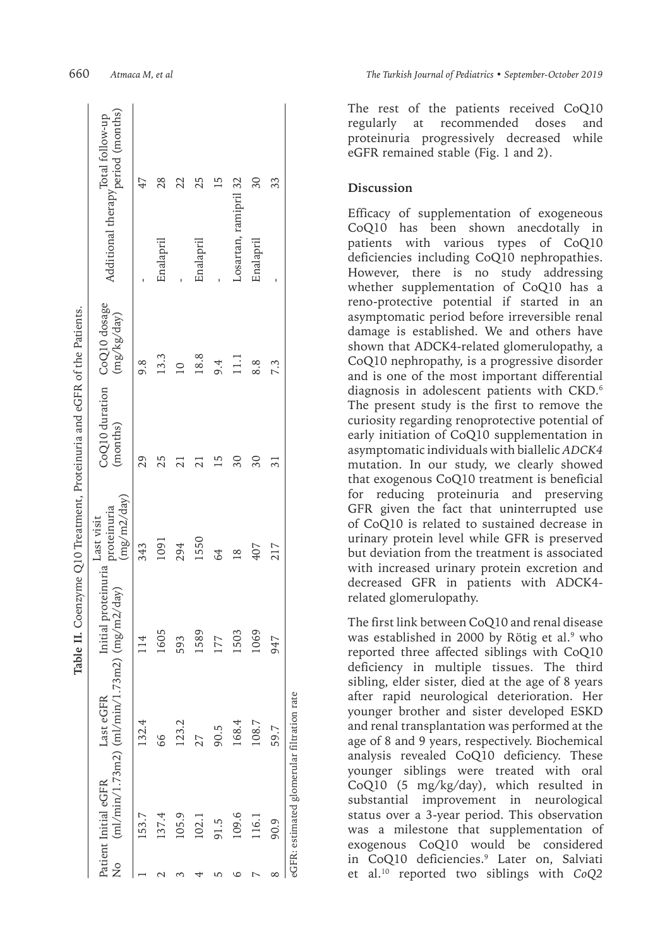|                |                                            |                                                                | Table II. Coenzyme Q10 Treatment, Proteinuria and eGFR of the Patients. |                            |                                                         |         |                                                       |    |
|----------------|--------------------------------------------|----------------------------------------------------------------|-------------------------------------------------------------------------|----------------------------|---------------------------------------------------------|---------|-------------------------------------------------------|----|
| $\overline{a}$ | Patient Initial eGFR                       | $(ml/min/1.73m2)$ $(ml/min/1.73m2)$ $(mg/m2/day)$<br>Last eGFR | Initial proteinuria Last visit                                          | (mg/m2/day)<br>proteinuria | CoQ10 duration $CoQ10$ dosage<br>(months) $(mg/kg/day)$ |         | Additional therapy Total follow-up<br>period (months) |    |
|                | 153.7                                      | 132.4                                                          | $\Xi$                                                                   | 343                        | 29                                                      | 9.6     |                                                       | 47 |
|                | 137.4                                      | 66                                                             | 1605                                                                    | 1091                       | 25                                                      | 13.3    | Enalapril                                             | 28 |
|                | 105.9                                      | 123.2                                                          | 593                                                                     | 294                        |                                                         | $\circ$ |                                                       | 22 |
|                | 102.1                                      | 27                                                             | 1589                                                                    | 1550                       |                                                         | 18.8    | Enalapril                                             | 25 |
|                | 91.5                                       | 90.5                                                           | 177                                                                     | 64                         |                                                         | 9.4     |                                                       |    |
|                | 109.6                                      | 168.4                                                          | 1503                                                                    | $\frac{8}{10}$             | 30                                                      | Ξ       | Losartan, ramipril 32                                 |    |
|                | 116.1                                      | 108.7                                                          | 1069                                                                    | 407                        | 30                                                      | 8.8     | Enalapril                                             | 30 |
|                | 90.9                                       | 59.7                                                           | 947                                                                     | 217                        |                                                         | 7.3     |                                                       | 33 |
|                | eGFR: estimated glomerular filtration rate |                                                                |                                                                         |                            |                                                         |         |                                                       |    |

The rest of the patients received CoQ10 regularly at recommended doses and proteinuria progressively decreased while eGFR remained stable (Fig. 1 and 2).

#### **Discussion**

Efficacy of supplementation of exogeneous CoQ10 has been shown anecdotally in patients with various types of CoQ10 deficiencies including CoQ10 nephropathies. However, there is no study addressing whether supplementation of CoQ10 has a reno-protective potential if started in an asymptomatic period before irreversible renal damage is established. We and others have shown that ADCK4-related glomerulopathy, a CoQ10 nephropathy, is a progressive disorder and is one of the most important differential diagnosis in adolescent patients with CKD. 6 The present study is the first to remove the curiosity regarding renoprotective potential of early initiation of CoQ10 supplementation in asymptomatic individuals with biallelic *ADCK4* mutation. In our study, we clearly showed that exogenous CoQ10 treatment is beneficial for reducing proteinuria and preserving GFR given the fact that uninterrupted use of CoQ10 is related to sustained decrease in urinary protein level while GFR is preserved but deviation from the treatment is associated with increased urinary protein excretion and decreased GFR in patients with ADCK4 related glomerulopathy.

The first link between CoQ10 and renal disease was established in 2000 by Rötig et al. 9 who reported three affected siblings with CoQ10 deficiency in multiple tissues. The third sibling, elder sister, died at the age of 8 years after rapid neurological deterioration. Her younger brother and sister developed ESKD and renal transplantation was performed at the age of 8 and 9 years, respectively. Biochemical analysis revealed CoQ10 deficiency. These younger siblings were treated with oral CoQ10 (5 mg/kg/day), which resulted in substantial improvement in neurological status over a 3-year period. This observation was a milestone that supplementation of exogenous CoQ10 would be considered in CoQ10 deficiencies. 9 Later on, Salviati et al.10 reported two siblings with *CoQ2*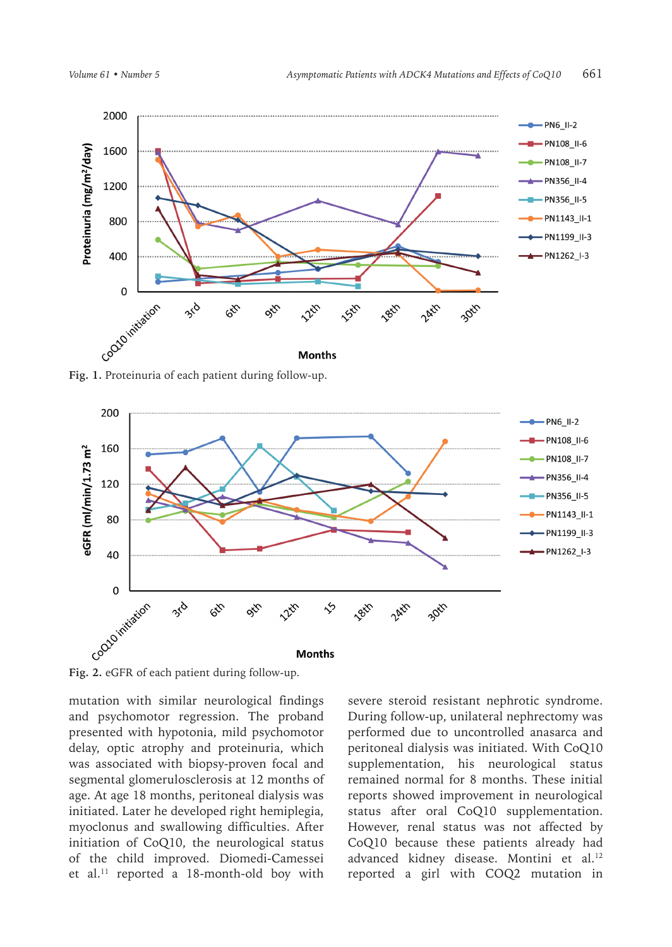



mutation with similar neurological findings and psychomotor regression. The proband presented with hypotonia, mild psychomotor delay, optic atrophy and proteinuria, which was associated with biopsy-proven focal and segmental glomerulosclerosis at 12 months of age. At age 18 months, peritoneal dialysis was initiated. Later he developed right hemiplegia, myoclonus and swallowing difficulties. After initiation of CoQ10, the neurological status of the child improved. Diomedi-Camessei et al.<sup>11</sup> reported a 18-month-old boy with

severe steroid resistant nephrotic syndrome. During follow-up, unilateral nephrectomy was performed due to uncontrolled anasarca and peritoneal dialysis was initiated. With CoQ10 supplementation, his neurological status remained normal for 8 months. These initial reports showed improvement in neurological status after oral CoQ10 supplementation. However, renal status was not affected by CoQ10 because these patients already had advanced kidney disease. Montini et al.<sup>12</sup> reported a girl with COQ2 mutation in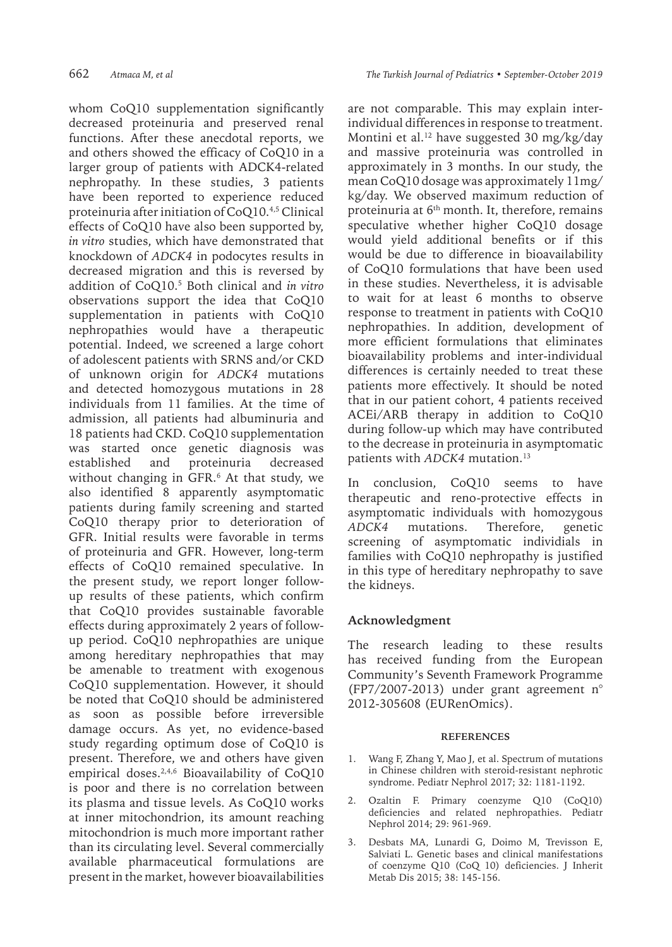whom CoQ10 supplementation significantly decreased proteinuria and preserved renal functions. After these anecdotal reports, we and others showed the efficacy of CoQ10 in a larger group of patients with ADCK4-related nephropathy. In these studies, 3 patients have been reported to experience reduced proteinuria after initiation of CoQ10.4,5 Clinical effects of CoQ10 have also been supported by, *in vitro* studies, which have demonstrated that knockdown of *ADCK4* in podocytes results in decreased migration and this is reversed by addition of CoQ10.5 Both clinical and *in vitro*  observations support the idea that CoQ10 supplementation in patients with CoQ10 nephropathies would have a therapeutic potential. Indeed, we screened a large cohort of adolescent patients with SRNS and/or CKD of unknown origin for *ADCK4* mutations and detected homozygous mutations in 28 individuals from 11 families. At the time of admission, all patients had albuminuria and 18 patients had CKD. CoQ10 supplementation was started once genetic diagnosis was established and proteinuria decreased without changing in GFR.6 At that study, we also identified 8 apparently asymptomatic patients during family screening and started CoQ10 therapy prior to deterioration of GFR. Initial results were favorable in terms of proteinuria and GFR. However, long-term effects of CoQ10 remained speculative. In the present study, we report longer followup results of these patients, which confirm that CoQ10 provides sustainable favorable effects during approximately 2 years of followup period. CoQ10 nephropathies are unique among hereditary nephropathies that may be amenable to treatment with exogenous CoQ10 supplementation. However, it should be noted that CoQ10 should be administered as soon as possible before irreversible damage occurs. As yet, no evidence-based study regarding optimum dose of CoQ10 is present. Therefore, we and others have given empirical doses.<sup>2,4,6</sup> Bioavailability of CoQ10 is poor and there is no correlation between its plasma and tissue levels. As CoQ10 works at inner mitochondrion, its amount reaching mitochondrion is much more important rather than its circulating level. Several commercially available pharmaceutical formulations are present in the market, however bioavailabilities

are not comparable. This may explain interindividual differences in response to treatment. Montini et al.<sup>12</sup> have suggested 30 mg/kg/day and massive proteinuria was controlled in approximately in 3 months. In our study, the mean CoQ10 dosage was approximately 11mg/ kg/day. We observed maximum reduction of proteinuria at  $6<sup>th</sup>$  month. It, therefore, remains speculative whether higher CoQ10 dosage would yield additional benefits or if this would be due to difference in bioavailability of CoQ10 formulations that have been used in these studies. Nevertheless, it is advisable to wait for at least 6 months to observe response to treatment in patients with CoQ10 nephropathies. In addition, development of more efficient formulations that eliminates bioavailability problems and inter-individual differences is certainly needed to treat these patients more effectively. It should be noted that in our patient cohort, 4 patients received ACEi/ARB therapy in addition to CoQ10 during follow-up which may have contributed to the decrease in proteinuria in asymptomatic patients with *ADCK4* mutation.<sup>13</sup>

In conclusion, CoQ10 seems to have therapeutic and reno-protective effects in asymptomatic individuals with homozygous *ADCK4* mutations. Therefore, genetic screening of asymptomatic individials in families with CoQ10 nephropathy is justified in this type of hereditary nephropathy to save the kidneys.

#### **Acknowledgment**

The research leading to these results has received funding from the European Community's Seventh Framework Programme (FP7/2007-2013) under grant agreement n° 2012-305608 (EURenOmics).

#### **REFERENCES**

- 1. Wang F, Zhang Y, Mao J, et al. Spectrum of mutations in Chinese children with steroid-resistant nephrotic syndrome. Pediatr Nephrol 2017; 32: 1181-1192.
- 2. Ozaltin F. Primary coenzyme Q10 (CoQ10) deficiencies and related nephropathies. Pediatr Nephrol 2014; 29: 961-969.
- 3. Desbats MA, Lunardi G, Doimo M, Trevisson E, Salviati L. Genetic bases and clinical manifestations of coenzyme Q10 (CoQ 10) deficiencies. J Inherit Metab Dis 2015; 38: 145-156.